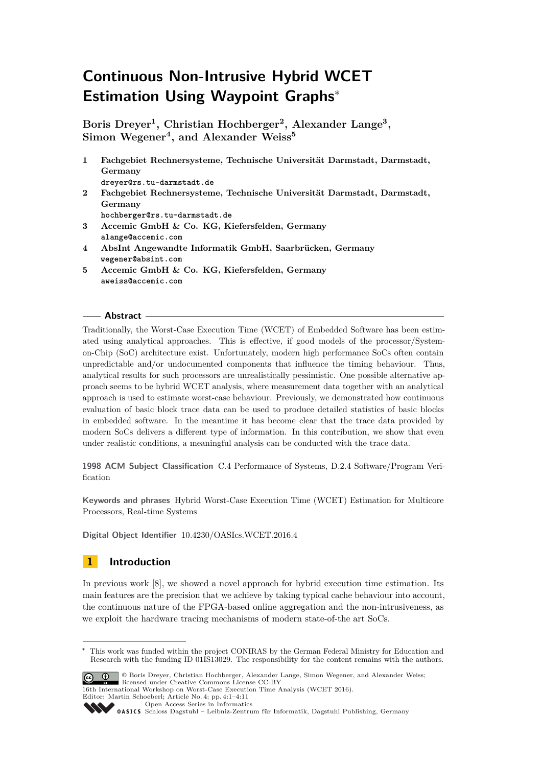# **Continuous Non-Intrusive Hybrid WCET Estimation Using Waypoint Graphs**<sup>∗</sup>

**Boris Dreyer<sup>1</sup> , Christian Hochberger<sup>2</sup> , Alexander Lange<sup>3</sup> , Simon Wegener<sup>4</sup> , and Alexander Weiss<sup>5</sup>**

- **1 Fachgebiet Rechnersysteme, Technische Universität Darmstadt, Darmstadt, Germany dreyer@rs.tu-darmstadt.de 2 Fachgebiet Rechnersysteme, Technische Universität Darmstadt, Darmstadt, Germany hochberger@rs.tu-darmstadt.de 3 Accemic GmbH & Co. KG, Kiefersfelden, Germany alange@accemic.com 4 AbsInt Angewandte Informatik GmbH, Saarbrücken, Germany wegener@absint.com**
- **5 Accemic GmbH & Co. KG, Kiefersfelden, Germany aweiss@accemic.com**

## **Abstract**

Traditionally, the Worst-Case Execution Time (WCET) of Embedded Software has been estimated using analytical approaches. This is effective, if good models of the processor/Systemon-Chip (SoC) architecture exist. Unfortunately, modern high performance SoCs often contain unpredictable and/or undocumented components that influence the timing behaviour. Thus, analytical results for such processors are unrealistically pessimistic. One possible alternative approach seems to be hybrid WCET analysis, where measurement data together with an analytical approach is used to estimate worst-case behaviour. Previously, we demonstrated how continuous evaluation of basic block trace data can be used to produce detailed statistics of basic blocks in embedded software. In the meantime it has become clear that the trace data provided by modern SoCs delivers a different type of information. In this contribution, we show that even under realistic conditions, a meaningful analysis can be conducted with the trace data.

**1998 ACM Subject Classification** C.4 Performance of Systems, D.2.4 Software/Program Verification

**Keywords and phrases** Hybrid Worst-Case Execution Time (WCET) Estimation for Multicore Processors, Real-time Systems

**Digital Object Identifier** [10.4230/OASIcs.WCET.2016.4](http://dx.doi.org/10.4230/OASIcs.WCET.2016.4)

## **1 Introduction**

In previous work [\[8\]](#page-9-0), we showed a novel approach for hybrid execution time estimation. Its main features are the precision that we achieve by taking typical cache behaviour into account, the continuous nature of the FPGA-based online aggregation and the non-intrusiveness, as we exploit the hardware tracing mechanisms of modern state-of-the art SoCs.

<sup>∗</sup> This work was funded within the project CONIRAS by the German Federal Ministry for Education and Research with the funding ID 01IS13029. The responsibility for the content remains with the authors.



© Boris Dreyer, Christian Hochberger, Alexander Lange, Simon Wegener, and Alexander Weiss; licensed under Creative Commons License CC-BY

16th International Workshop on Worst-Case Execution Time Analysis (WCET 2016). Editor: Martin Schoeberl; Article No. 4; pp. 4:1–4[:11](#page-10-0)

[Open Access Series in Informatics](http://www.dagstuhl.de/oasics/) [Schloss Dagstuhl – Leibniz-Zentrum für Informatik, Dagstuhl Publishing, Germany](http://www.dagstuhl.de)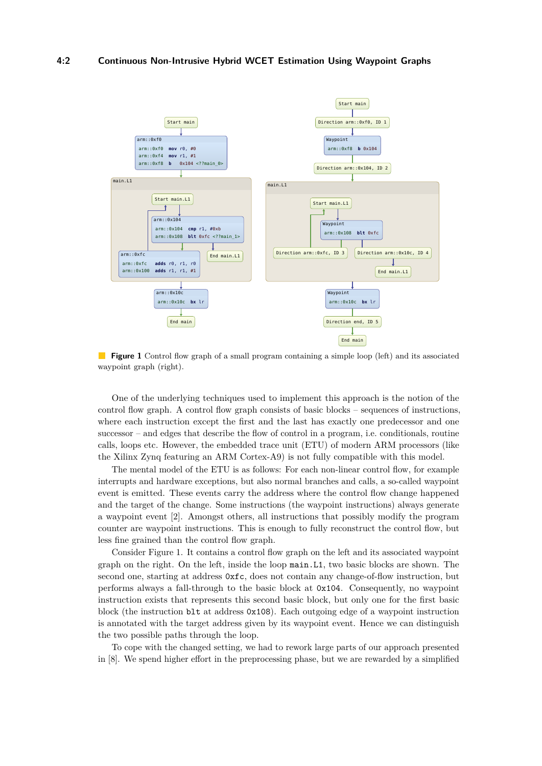### **4:2 Continuous Non-Intrusive Hybrid WCET Estimation Using Waypoint Graphs**

<span id="page-1-0"></span>

**Figure 1** Control flow graph of a small program containing a simple loop (left) and its associated waypoint graph (right).

One of the underlying techniques used to implement this approach is the notion of the control flow graph. A control flow graph consists of basic blocks – sequences of instructions, where each instruction except the first and the last has exactly one predecessor and one successor – and edges that describe the flow of control in a program, i.e. conditionals, routine calls, loops etc. However, the embedded trace unit (ETU) of modern ARM processors (like the Xilinx Zynq featuring an ARM Cortex-A9) is not fully compatible with this model.

The mental model of the ETU is as follows: For each non-linear control flow, for example interrupts and hardware exceptions, but also normal branches and calls, a so-called waypoint event is emitted. These events carry the address where the control flow change happened and the target of the change. Some instructions (the waypoint instructions) always generate a waypoint event [\[2\]](#page-9-1). Amongst others, all instructions that possibly modify the program counter are waypoint instructions. This is enough to fully reconstruct the control flow, but less fine grained than the control flow graph.

Consider Figure [1.](#page-1-0) It contains a control flow graph on the left and its associated waypoint graph on the right. On the left, inside the loop main.L1, two basic blocks are shown. The second one, starting at address 0xfc, does not contain any change-of-flow instruction, but performs always a fall-through to the basic block at 0x104. Consequently, no waypoint instruction exists that represents this second basic block, but only one for the first basic block (the instruction blt at address 0x108). Each outgoing edge of a waypoint instruction is annotated with the target address given by its waypoint event. Hence we can distinguish the two possible paths through the loop.

To cope with the changed setting, we had to rework large parts of our approach presented in [\[8\]](#page-9-0). We spend higher effort in the preprocessing phase, but we are rewarded by a simplified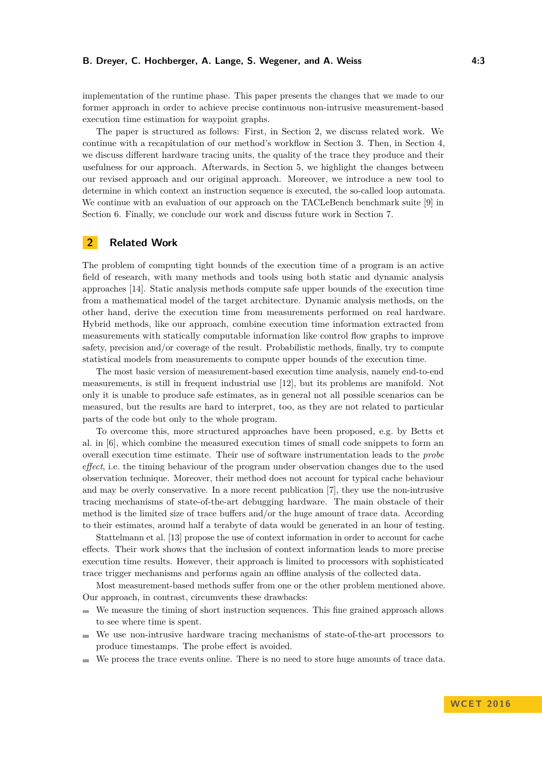### **B. Dreyer, C. Hochberger, A. Lange, S. Wegener, and A. Weiss 4:3**

implementation of the runtime phase. This paper presents the changes that we made to our former approach in order to achieve precise continuous non-intrusive measurement-based execution time estimation for waypoint graphs.

The paper is structured as follows: First, in Section [2,](#page-2-0) we discuss related work. We continue with a recapitulation of our method's workflow in Section [3.](#page-3-0) Then, in Section [4,](#page-4-0) we discuss different hardware tracing units, the quality of the trace they produce and their usefulness for our approach. Afterwards, in Section [5,](#page-5-0) we highlight the changes between our revised approach and our original approach. Moreover, we introduce a new tool to determine in which context an instruction sequence is executed, the so-called loop automata. We continue with an evaluation of our approach on the TACLeBench benchmark suite [\[9\]](#page-9-2) in Section [6.](#page-7-0) Finally, we conclude our work and discuss future work in Section [7.](#page-8-0)

## <span id="page-2-0"></span>**2 Related Work**

The problem of computing tight bounds of the execution time of a program is an active field of research, with many methods and tools using both static and dynamic analysis approaches [\[14\]](#page-10-1). Static analysis methods compute safe upper bounds of the execution time from a mathematical model of the target architecture. Dynamic analysis methods, on the other hand, derive the execution time from measurements performed on real hardware. Hybrid methods, like our approach, combine execution time information extracted from measurements with statically computable information like control flow graphs to improve safety, precision and/or coverage of the result. Probabilistic methods, finally, try to compute statistical models from measurements to compute upper bounds of the execution time.

The most basic version of measurement-based execution time analysis, namely end-to-end measurements, is still in frequent industrial use [\[12\]](#page-9-3), but its problems are manifold. Not only it is unable to produce safe estimates, as in general not all possible scenarios can be measured, but the results are hard to interpret, too, as they are not related to particular parts of the code but only to the whole program.

To overcome this, more structured approaches have been proposed, e.g. by Betts et al. in [\[6\]](#page-9-4), which combine the measured execution times of small code snippets to form an overall execution time estimate. Their use of software instrumentation leads to the *probe effect*, i.e. the timing behaviour of the program under observation changes due to the used observation technique. Moreover, their method does not account for typical cache behaviour and may be overly conservative. In a more recent publication [\[7\]](#page-9-5), they use the non-intrusive tracing mechanisms of state-of-the-art debugging hardware. The main obstacle of their method is the limited size of trace buffers and/or the huge amount of trace data. According to their estimates, around half a terabyte of data would be generated in an hour of testing.

Stattelmann et al. [\[13\]](#page-9-6) propose the use of context information in order to account for cache effects. Their work shows that the inclusion of context information leads to more precise execution time results. However, their approach is limited to processors with sophisticated trace trigger mechanisms and performs again an offline analysis of the collected data.

Most measurement-based methods suffer from one or the other problem mentioned above. Our approach, in contrast, circumvents these drawbacks:

- $\blacksquare$ We measure the timing of short instruction sequences. This fine grained approach allows to see where time is spent.
- We use non-intrusive hardware tracing mechanisms of state-of-the-art processors to produce timestamps. The probe effect is avoided.
- We process the trace events online. There is no need to store huge amounts of trace data.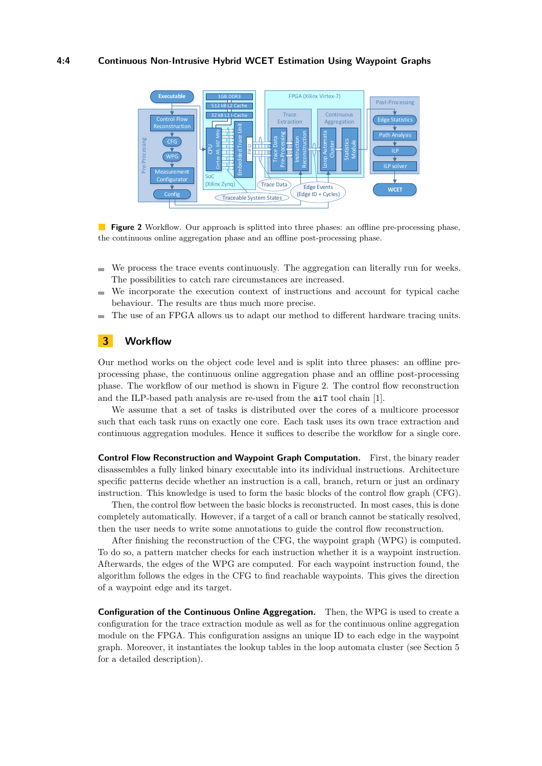## **4:4 Continuous Non-Intrusive Hybrid WCET Estimation Using Waypoint Graphs**

<span id="page-3-1"></span>

**Figure 2** Workflow. Our approach is splitted into three phases: an offline pre-processing phase, the continuous online aggregation phase and an offline post-processing phase.

- We process the trace events continuously. The aggregation can literally run for weeks.  $\equiv$ The possibilities to catch rare circumstances are increased.
- We incorporate the execution context of instructions and account for typical cache  $\blacksquare$ behaviour. The results are thus much more precise.
- The use of an FPGA allows us to adapt our method to different hardware tracing units.

## <span id="page-3-0"></span>**3 Workflow**

Our method works on the object code level and is split into three phases: an offline preprocessing phase, the continuous online aggregation phase and an offline post-processing phase. The workflow of our method is shown in Figure [2.](#page-3-1) The control flow reconstruction and the ILP-based path analysis are re-used from the aiT tool chain [\[1\]](#page-9-7).

We assume that a set of tasks is distributed over the cores of a multicore processor such that each task runs on exactly one core. Each task uses its own trace extraction and continuous aggregation modules. Hence it suffices to describe the workflow for a single core.

**Control Flow Reconstruction and Waypoint Graph Computation.** First, the binary reader disassembles a fully linked binary executable into its individual instructions. Architecture specific patterns decide whether an instruction is a call, branch, return or just an ordinary instruction. This knowledge is used to form the basic blocks of the control flow graph (CFG).

Then, the control flow between the basic blocks is reconstructed. In most cases, this is done completely automatically. However, if a target of a call or branch cannot be statically resolved, then the user needs to write some annotations to guide the control flow reconstruction.

After finishing the reconstruction of the CFG, the waypoint graph (WPG) is computed. To do so, a pattern matcher checks for each instruction whether it is a waypoint instruction. Afterwards, the edges of the WPG are computed. For each waypoint instruction found, the algorithm follows the edges in the CFG to find reachable waypoints. This gives the direction of a waypoint edge and its target.

**Configuration of the Continuous Online Aggregation.** Then, the WPG is used to create a configuration for the trace extraction module as well as for the continuous online aggregation module on the FPGA. This configuration assigns an unique ID to each edge in the waypoint graph. Moreover, it instantiates the lookup tables in the loop automata cluster (see Section [5](#page-5-1) for a detailed description).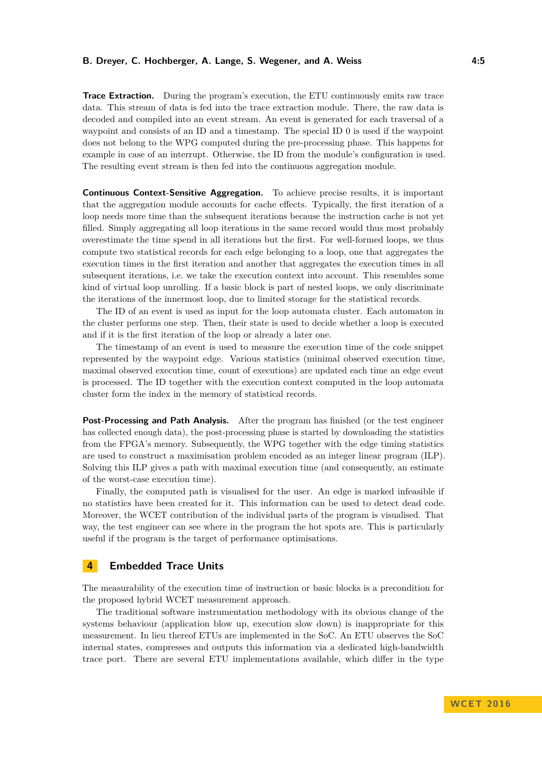## **B. Dreyer, C. Hochberger, A. Lange, S. Wegener, and A. Weiss 4:5**

**Trace Extraction.** During the program's execution, the ETU continuously emits raw trace data. This stream of data is fed into the trace extraction module. There, the raw data is decoded and compiled into an event stream. An event is generated for each traversal of a waypoint and consists of an ID and a timestamp. The special ID 0 is used if the waypoint does not belong to the WPG computed during the pre-processing phase. This happens for example in case of an interrupt. Otherwise, the ID from the module's configuration is used. The resulting event stream is then fed into the continuous aggregation module.

**Continuous Context-Sensitive Aggregation.** To achieve precise results, it is important that the aggregation module accounts for cache effects. Typically, the first iteration of a loop needs more time than the subsequent iterations because the instruction cache is not yet filled. Simply aggregating all loop iterations in the same record would thus most probably overestimate the time spend in all iterations but the first. For well-formed loops, we thus compute two statistical records for each edge belonging to a loop, one that aggregates the execution times in the first iteration and another that aggregates the execution times in all subsequent iterations, i.e. we take the execution context into account. This resembles some kind of virtual loop unrolling. If a basic block is part of nested loops, we only discriminate the iterations of the innermost loop, due to limited storage for the statistical records.

The ID of an event is used as input for the loop automata cluster. Each automaton in the cluster performs one step. Then, their state is used to decide whether a loop is executed and if it is the first iteration of the loop or already a later one.

The timestamp of an event is used to measure the execution time of the code snippet represented by the waypoint edge. Various statistics (minimal observed execution time, maximal observed execution time, count of executions) are updated each time an edge event is processed. The ID together with the execution context computed in the loop automata cluster form the index in the memory of statistical records.

**Post-Processing and Path Analysis.** After the program has finished (or the test engineer has collected enough data), the post-processing phase is started by downloading the statistics from the FPGA's memory. Subsequently, the WPG together with the edge timing statistics are used to construct a maximisation problem encoded as an integer linear program (ILP). Solving this ILP gives a path with maximal execution time (and consequently, an estimate of the worst-case execution time).

Finally, the computed path is visualised for the user. An edge is marked infeasible if no statistics have been created for it. This information can be used to detect dead code. Moreover, the WCET contribution of the individual parts of the program is visualised. That way, the test engineer can see where in the program the hot spots are. This is particularly useful if the program is the target of performance optimisations.

## <span id="page-4-0"></span>**4 Embedded Trace Units**

The measurability of the execution time of instruction or basic blocks is a precondition for the proposed hybrid WCET measurement approach.

The traditional software instrumentation methodology with its obvious change of the systems behaviour (application blow up, execution slow down) is inappropriate for this measurement. In lieu thereof ETUs are implemented in the SoC. An ETU observes the SoC internal states, compresses and outputs this information via a dedicated high-bandwidth trace port. There are several ETU implementations available, which differ in the type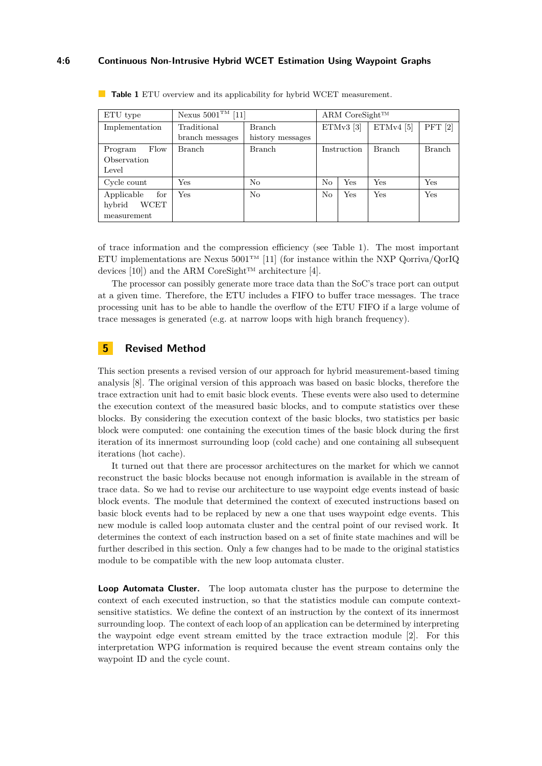## **4:6 Continuous Non-Intrusive Hybrid WCET Estimation Using Waypoint Graphs**

| ETU type              | Nexus $5001^{\text{TM}}$ [11] |                  |             | ARM CoreSight <sup>TM</sup> |               |               |  |  |
|-----------------------|-------------------------------|------------------|-------------|-----------------------------|---------------|---------------|--|--|
| Implementation        | Traditional                   | <b>Branch</b>    | $ETMv3$ [3] |                             | $ETMv4$ [5]   | PFT $[2]$     |  |  |
|                       | branch messages               | history messages |             |                             |               |               |  |  |
| Flow<br>Program       | Branch                        | Branch           |             | Instruction                 | <b>Branch</b> | <b>Branch</b> |  |  |
| Observation           |                               |                  |             |                             |               |               |  |  |
| Level                 |                               |                  |             |                             |               |               |  |  |
| Cycle count           | Yes                           | No               | No          | Yes                         | Yes           | Yes           |  |  |
| Applicable<br>for     | Yes                           | N <sub>o</sub>   | No          | Yes                         | Yes           | <b>Yes</b>    |  |  |
| <b>WCET</b><br>hybrid |                               |                  |             |                             |               |               |  |  |
| measurement           |                               |                  |             |                             |               |               |  |  |

<span id="page-5-2"></span>**Table 1** ETU overview and its applicability for hybrid WCET measurement.

of trace information and the compression efficiency (see Table [1\)](#page-5-2). The most important ETU implementations are Nexus 5001<sup>TM</sup> [\[11\]](#page-9-8) (for instance within the NXP Qorriva/QorIQ devices [\[10\]](#page-9-11)) and the ARM CoreSight<sup>™</sup> architecture [\[4\]](#page-9-12).

The processor can possibly generate more trace data than the SoC's trace port can output at a given time. Therefore, the ETU includes a FIFO to buffer trace messages. The trace processing unit has to be able to handle the overflow of the ETU FIFO if a large volume of trace messages is generated (e.g. at narrow loops with high branch frequency).

## <span id="page-5-0"></span>**5 Revised Method**

This section presents a revised version of our approach for hybrid measurement-based timing analysis [\[8\]](#page-9-0). The original version of this approach was based on basic blocks, therefore the trace extraction unit had to emit basic block events. These events were also used to determine the execution context of the measured basic blocks, and to compute statistics over these blocks. By considering the execution context of the basic blocks, two statistics per basic block were computed: one containing the execution times of the basic block during the first iteration of its innermost surrounding loop (cold cache) and one containing all subsequent iterations (hot cache).

It turned out that there are processor architectures on the market for which we cannot reconstruct the basic blocks because not enough information is available in the stream of trace data. So we had to revise our architecture to use waypoint edge events instead of basic block events. The module that determined the context of executed instructions based on basic block events had to be replaced by new a one that uses waypoint edge events. This new module is called loop automata cluster and the central point of our revised work. It determines the context of each instruction based on a set of finite state machines and will be further described in this section. Only a few changes had to be made to the original statistics module to be compatible with the new loop automata cluster.

<span id="page-5-1"></span>**Loop Automata Cluster.** The loop automata cluster has the purpose to determine the context of each executed instruction, so that the statistics module can compute contextsensitive statistics. We define the context of an instruction by the context of its innermost surrounding loop. The context of each loop of an application can be determined by interpreting the waypoint edge event stream emitted by the trace extraction module [\[2\]](#page-9-1). For this interpretation WPG information is required because the event stream contains only the waypoint ID and the cycle count.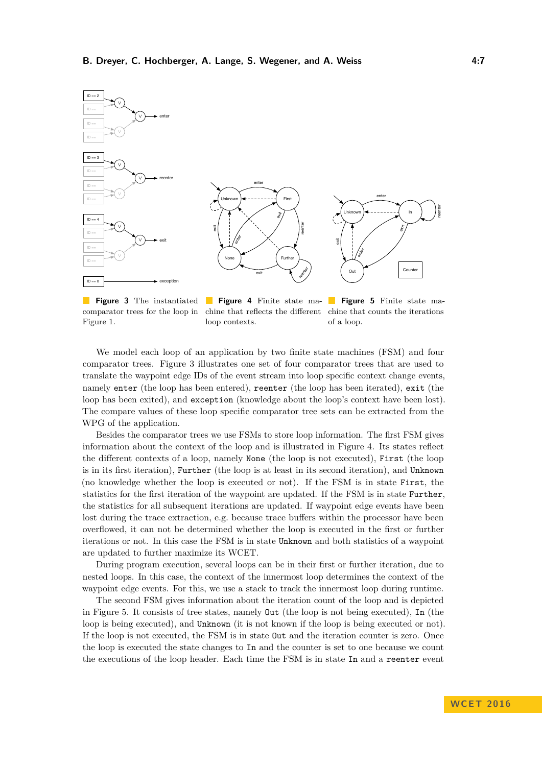<span id="page-6-0"></span>

**Figure 3** The instantiated **Figure 4** Finite state ma- **Figure 5** Finite state macomparator trees for the loop in Figure [1.](#page-1-0) chine that reflects the different chine that counts the iterations loop contexts. of a loop.

We model each loop of an application by two finite state machines (FSM) and four comparator trees. Figure [3](#page-6-0) illustrates one set of four comparator trees that are used to translate the waypoint edge IDs of the event stream into loop specific context change events, namely enter (the loop has been entered), reenter (the loop has been iterated), exit (the loop has been exited), and exception (knowledge about the loop's context have been lost). The compare values of these loop specific comparator tree sets can be extracted from the WPG of the application.

Besides the comparator trees we use FSMs to store loop information. The first FSM gives information about the context of the loop and is illustrated in Figure [4.](#page-6-0) Its states reflect the different contexts of a loop, namely None (the loop is not executed), First (the loop is in its first iteration), Further (the loop is at least in its second iteration), and Unknown (no knowledge whether the loop is executed or not). If the FSM is in state First, the statistics for the first iteration of the waypoint are updated. If the FSM is in state Further, the statistics for all subsequent iterations are updated. If waypoint edge events have been lost during the trace extraction, e.g. because trace buffers within the processor have been overflowed, it can not be determined whether the loop is executed in the first or further iterations or not. In this case the FSM is in state Unknown and both statistics of a waypoint are updated to further maximize its WCET.

During program execution, several loops can be in their first or further iteration, due to nested loops. In this case, the context of the innermost loop determines the context of the waypoint edge events. For this, we use a stack to track the innermost loop during runtime.

The second FSM gives information about the iteration count of the loop and is depicted in Figure [5.](#page-6-0) It consists of tree states, namely Out (the loop is not being executed), In (the loop is being executed), and Unknown (it is not known if the loop is being executed or not). If the loop is not executed, the FSM is in state Out and the iteration counter is zero. Once the loop is executed the state changes to In and the counter is set to one because we count the executions of the loop header. Each time the FSM is in state In and a reenter event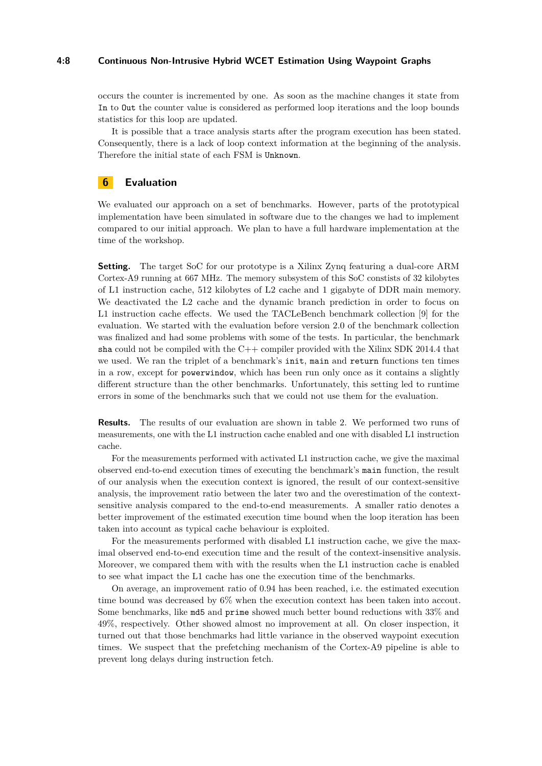### **4:8 Continuous Non-Intrusive Hybrid WCET Estimation Using Waypoint Graphs**

occurs the counter is incremented by one. As soon as the machine changes it state from In to Out the counter value is considered as performed loop iterations and the loop bounds statistics for this loop are updated.

It is possible that a trace analysis starts after the program execution has been stated. Consequently, there is a lack of loop context information at the beginning of the analysis. Therefore the initial state of each FSM is Unknown.

## <span id="page-7-0"></span>**6 Evaluation**

We evaluated our approach on a set of benchmarks. However, parts of the prototypical implementation have been simulated in software due to the changes we had to implement compared to our initial approach. We plan to have a full hardware implementation at the time of the workshop.

**Setting.** The target SoC for our prototype is a Xilinx Zynq featuring a dual-core ARM Cortex-A9 running at 667 MHz. The memory subsystem of this SoC constists of 32 kilobytes of L1 instruction cache, 512 kilobytes of L2 cache and 1 gigabyte of DDR main memory. We deactivated the L2 cache and the dynamic branch prediction in order to focus on L1 instruction cache effects. We used the TACLeBench benchmark collection [\[9\]](#page-9-2) for the evaluation. We started with the evaluation before version 2.0 of the benchmark collection was finalized and had some problems with some of the tests. In particular, the benchmark sha could not be compiled with the  $C++$  compiler provided with the Xilinx SDK 2014.4 that we used. We ran the triplet of a benchmark's init, main and return functions ten times in a row, except for powerwindow, which has been run only once as it contains a slightly different structure than the other benchmarks. Unfortunately, this setting led to runtime errors in some of the benchmarks such that we could not use them for the evaluation.

**Results.** The results of our evaluation are shown in table [2.](#page-8-1) We performed two runs of measurements, one with the L1 instruction cache enabled and one with disabled L1 instruction cache.

For the measurements performed with activated L1 instruction cache, we give the maximal observed end-to-end execution times of executing the benchmark's main function, the result of our analysis when the execution context is ignored, the result of our context-sensitive analysis, the improvement ratio between the later two and the overestimation of the contextsensitive analysis compared to the end-to-end measurements. A smaller ratio denotes a better improvement of the estimated execution time bound when the loop iteration has been taken into account as typical cache behaviour is exploited.

For the measurements performed with disabled L1 instruction cache, we give the maximal observed end-to-end execution time and the result of the context-insensitive analysis. Moreover, we compared them with with the results when the L1 instruction cache is enabled to see what impact the L1 cache has one the execution time of the benchmarks.

On average, an improvement ratio of 0.94 has been reached, i.e. the estimated execution time bound was decreased by 6% when the execution context has been taken into accout. Some benchmarks, like md5 and prime showed much better bound reductions with 33% and 49%, respectively. Other showed almost no improvement at all. On closer inspection, it turned out that those benchmarks had little variance in the observed waypoint execution times. We suspect that the prefetching mechanism of the Cortex-A9 pipeline is able to prevent long delays during instruction fetch.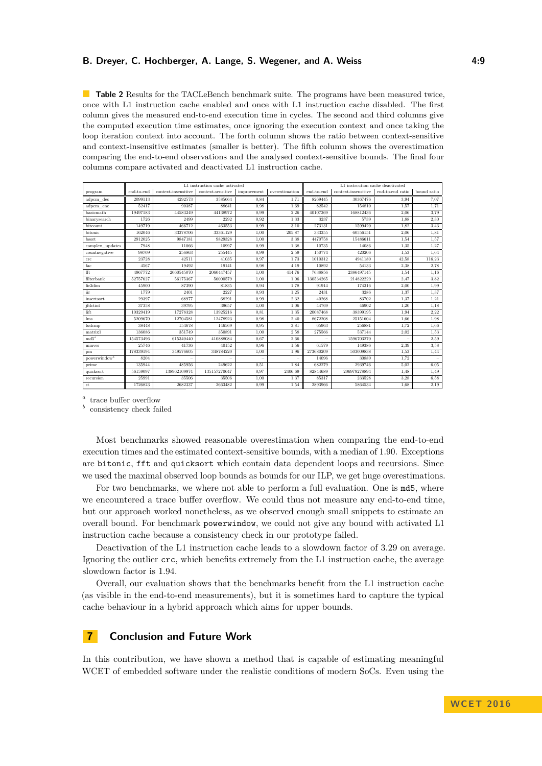### **B. Dreyer, C. Hochberger, A. Lange, S. Wegener, and A. Weiss 4:9**

<span id="page-8-1"></span>**Table 2** Results for the TACLeBench benchmark suite. The programs have been measured twice, once with L1 instruction cache enabled and once with L1 instruction cache disabled. The first column gives the measured end-to-end execution time in cycles. The second and third columns give the computed execution time estimates, once ignoring the execution context and once taking the loop iteration context into account. The forth column shows the ratio between context-sensitive and context-insensitive estimates (smaller is better). The fifth column shows the overestimation comparing the end-to-end observations and the analysed context-sensitive bounds. The final four columns compare activated and deactivated L1 instruction cache.

|                          | L1 instruction cache activated |                     |                   |             |                | L1 instrcution cache deactivated |                     |                  |             |  |
|--------------------------|--------------------------------|---------------------|-------------------|-------------|----------------|----------------------------------|---------------------|------------------|-------------|--|
| program                  | end-to-end                     | context-insensitive | context-sensitive | improvement | overestimation | end-to-end                       | context-insensitive | end-to-end ratio | bound ratio |  |
| adpcm dec                | 2099113                        | 4292573             | 3585664           | 0.84        | 1.71           | 8269445                          | 30367476            | 3.94             | 7.07        |  |
| adpcm enc                | 52417                          | 90387               | 88641             | 0.98        | 1.69           | 82542                            | 154810              | 1,57             | 1,71        |  |
| basicmath                | 19497183                       | 44583249            | 44138972          | 0.99        | 2,26           | 40107369                         | 168812436           | 2.06             | 3,79        |  |
| binarysearch             | 1726                           | 2499                | 2292              | 0.92        | 1,33           | 3237                             | 5739                | 1.88             | 2,30        |  |
| bitcount                 | 149719                         | 466712              | 463553            | 0.99        | 3.10           | 273131                           | 1599420             | 1.82             | 3.43        |  |
| bitonic                  | 162046                         | 33378706            | 33361129          | 1.00        | 205,87         | 333355                           | 60556151            | 2.06             | 1.81        |  |
| bsort                    | 2912025                        | 9847181             | 9829328           | 1,00        | 3.38           | 4470758                          | 15486611            | 1,54             | 1,57        |  |
| complex updates          | 7948                           | 11066               | 10997             | 0.99        | 1,38           | 10735                            | 14086               | 1,35             | 1,27        |  |
| countnegative            | 98709                          | 256863              | 255445            | 0.99        | 2,59           | 150774                           | 420206              | 1,53             | 1,64        |  |
| crc                      | 23728                          | 42511               | 41035             | 0.97        | 1.73           | 1010312                          | 4941180             | 42.58            | 116,23      |  |
| fac                      | 4567                           | 19492               | 19141             | 0.98        | 4.19           | 10892                            | 54133               | 2.38             | 2.78        |  |
| fft.                     | 4967772                        | 2060545070          | 2060447457        | 1,00        | 414.76         | 7638856                          | 2386497145          | 1,54             | 1.16        |  |
| filterbank               | 52757627                       | 56175367            | 56000579          | 1,00        | 1.06           | 130534265                        | 214822229           | 2.47             | 3.82        |  |
| fir2dim                  | 45900                          | 87390               | 81835             | 0.94        | 1,78           | 91914                            | 174316              | 2.00             | 1,99        |  |
| iir                      | 1779                           | 2401                | 2227              | 0.93        | 1,25           | 2431                             | 3286                | 1,37             | 1,37        |  |
| insertsort               | 29397                          | 68977               | 68291             | 0.99        | 2,32           | 40268                            | 83702               | 1.37             | 1,21        |  |
| jfdctint                 | 37358                          | 39795               | 39657             | 1,00        | 1,06           | 44769                            | 46902               | 1,20             | 1.18        |  |
| lift                     | 10329419                       | 17278328            | 13925216          | 0.81        | 1,35           | 20087468                         | 38399195            | 1,94             | 2,22        |  |
| lms                      | 5209670                        | 12704581            | 12478923          | 0.98        | 2.40           | 8672208                          | 25151604            | 1.66             | 1.98        |  |
| ludcmp                   | 38448                          | 154678              | 146569            | 0.95        | 3.81           | 65963                            | 256881              | 1,72             | 1,66        |  |
| matrix1                  | 136086                         | 351749              | 350891            | 1.00        | 2,58           | 275566                           | 537144              | 2.02             | 1,53        |  |
| $\text{md}5^a$           | 154573496                      | 615340440           | 410888084         | 0.67        | 2,66           |                                  | 1596703270          |                  | 2,59        |  |
| minver                   | 25746                          | 41736               | 40152             | 0.96        | 1.56           | 61579                            | 149386              | 2.39             | 3,58        |  |
| pm                       | 178339194                      | 349576605           | 348784220         | 1,00        | 1,96           | 273680209                        | 503009838           | 1.53             | 1,44        |  |
| powerwindow <sup>b</sup> | 8204                           |                     |                   |             |                | 14096                            | 30889               | 1.72             |             |  |
| prime                    | 135944                         | 485956              | 249622            | 0.51        | 1,84           | 682279                           | 2939746             | 5.02             | 6,05        |  |
| quicksort                | 56159097                       | 138962109974        | 135157270647      | 0.97        | 2406.69        | 82844689                         | 206979278894        | 1.48             | 1,49        |  |
| recursion                | 25991                          | 35506               | 35506             | 1,00        | 1,37           | 85317                            | 233528              | 3.28             | 6.58        |  |
| $\rm st$                 | 1726823                        | 2682337             | 2663482           | 0.99        | 1,54           | 2893966                          | 5864534             | 1.68             | 2.19        |  |

<span id="page-8-2"></span>*a* trace buffer overflow

<span id="page-8-3"></span>*b* consistency check failed

Most benchmarks showed reasonable overestimation when comparing the end-to-end execution times and the estimated context-sensitive bounds, with a median of 1.90. Exceptions are bitonic, fft and quicksort which contain data dependent loops and recursions. Since we used the maximal observed loop bounds as bounds for our ILP, we get huge overestimations.

For two benchmarks, we where not able to perform a full evaluation. One is md5, where we encountered a trace buffer overflow. We could thus not measure any end-to-end time, but our approach worked nonetheless, as we observed enough small snippets to estimate an overall bound. For benchmark powerwindow, we could not give any bound with activated L1 instruction cache because a consistency check in our prototype failed.

Deactivation of the L1 instruction cache leads to a slowdown factor of 3.29 on average. Ignoring the outlier crc, which benefits extremely from the L1 instruction cache, the average slowdown factor is 1.94.

Overall, our evaluation shows that the benchmarks benefit from the L1 instruction cache (as visible in the end-to-end measurements), but it is sometimes hard to capture the typical cache behaviour in a hybrid approach which aims for upper bounds.

## <span id="page-8-0"></span>**7 Conclusion and Future Work**

In this contribution, we have shown a method that is capable of estimating meaningful WCET of embedded software under the realistic conditions of modern SoCs. Even using the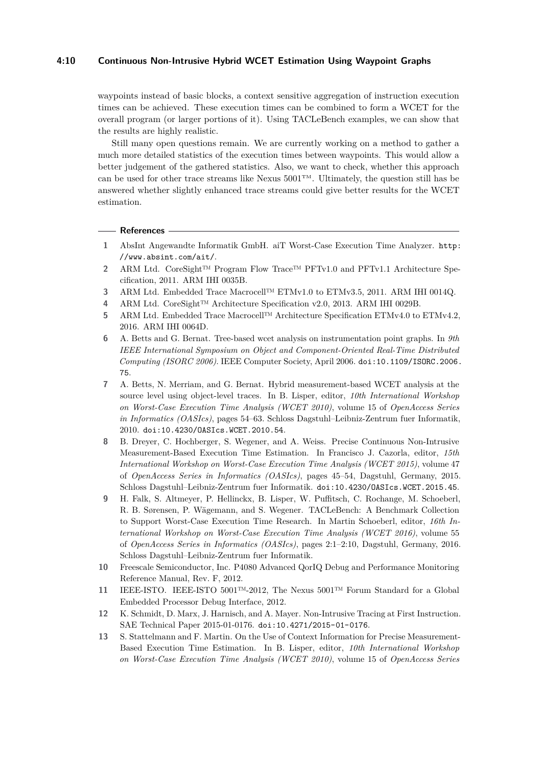## **4:10 Continuous Non-Intrusive Hybrid WCET Estimation Using Waypoint Graphs**

waypoints instead of basic blocks, a context sensitive aggregation of instruction execution times can be achieved. These execution times can be combined to form a WCET for the overall program (or larger portions of it). Using TACLeBench examples, we can show that the results are highly realistic.

Still many open questions remain. We are currently working on a method to gather a much more detailed statistics of the execution times between waypoints. This would allow a better judgement of the gathered statistics. Also, we want to check, whether this approach can be used for other trace streams like Nexus  $5001^{TM}$ . Ultimately, the question still has be answered whether slightly enhanced trace streams could give better results for the WCET estimation.

#### **References**

- <span id="page-9-7"></span>**1** AbsInt Angewandte Informatik GmbH. aiT Worst-Case Execution Time Analyzer. [http:](http://www.absint.com/ait/) [//www.absint.com/ait/](http://www.absint.com/ait/).
- <span id="page-9-1"></span>**2** ARM Ltd. CoreSight™ Program Flow Trace™ PFTv1.0 and PFTv1.1 Architecture Specification, 2011. ARM IHI 0035B.
- <span id="page-9-9"></span>**3** ARM Ltd. Embedded Trace Macrocell™ ETMv1.0 to ETMv3.5, 2011. ARM IHI 0014Q.
- <span id="page-9-12"></span>**4** ARM Ltd. CoreSight™ Architecture Specification v2.0, 2013. ARM IHI 0029B.
- <span id="page-9-10"></span>**5** ARM Ltd. Embedded Trace Macrocell™ Architecture Specification ETMv4.0 to ETMv4.2, 2016. ARM IHI 0064D.
- <span id="page-9-4"></span>**6** A. Betts and G. Bernat. Tree-based wcet analysis on instrumentation point graphs. In *9th IEEE International Symposium on Object and Component-Oriented Real-Time Distributed Computing (ISORC 2006)*. IEEE Computer Society, April 2006. [doi:10.1109/ISORC.2006.](http://dx.doi.org/10.1109/ISORC.2006.75) [75](http://dx.doi.org/10.1109/ISORC.2006.75).
- <span id="page-9-5"></span>**7** A. Betts, N. Merriam, and G. Bernat. Hybrid measurement-based WCET analysis at the source level using object-level traces. In B. Lisper, editor, *10th International Workshop on Worst-Case Execution Time Analysis (WCET 2010)*, volume 15 of *OpenAccess Series in Informatics (OASIcs)*, pages 54–63. Schloss Dagstuhl–Leibniz-Zentrum fuer Informatik, 2010. [doi:10.4230/OASIcs.WCET.2010.54](http://dx.doi.org/10.4230/OASIcs.WCET.2010.54).
- <span id="page-9-0"></span>**8** B. Dreyer, C. Hochberger, S. Wegener, and A. Weiss. Precise Continuous Non-Intrusive Measurement-Based Execution Time Estimation. In Francisco J. Cazorla, editor, *15th International Workshop on Worst-Case Execution Time Analysis (WCET 2015)*, volume 47 of *OpenAccess Series in Informatics (OASIcs)*, pages 45–54, Dagstuhl, Germany, 2015. Schloss Dagstuhl–Leibniz-Zentrum fuer Informatik. [doi:10.4230/OASIcs.WCET.2015.45](http://dx.doi.org/10.4230/OASIcs.WCET.2015.45).
- <span id="page-9-2"></span>**9** H. Falk, S. Altmeyer, P. Hellinckx, B. Lisper, W. Puffitsch, C. Rochange, M. Schoeberl, R. B. Sørensen, P. Wägemann, and S. Wegener. TACLeBench: A Benchmark Collection to Support Worst-Case Execution Time Research. In Martin Schoeberl, editor, *16th International Workshop on Worst-Case Execution Time Analysis (WCET 2016)*, volume 55 of *OpenAccess Series in Informatics (OASIcs)*, pages 2:1–2:10, Dagstuhl, Germany, 2016. Schloss Dagstuhl–Leibniz-Zentrum fuer Informatik.
- <span id="page-9-11"></span>**10** Freescale Semiconductor, Inc. P4080 Advanced QorIQ Debug and Performance Monitoring Reference Manual, Rev. F, 2012.
- <span id="page-9-8"></span>**11** IEEE-ISTO. IEEE-ISTO 5001™-2012, The Nexus 5001™ Forum Standard for a Global Embedded Processor Debug Interface, 2012.
- <span id="page-9-3"></span>**12** K. Schmidt, D. Marx, J. Harnisch, and A. Mayer. Non-Intrusive Tracing at First Instruction. SAE Technical Paper 2015-01-0176. [doi:10.4271/2015-01-0176](http://dx.doi.org/10.4271/2015-01-0176).
- <span id="page-9-6"></span>**13** S. Stattelmann and F. Martin. On the Use of Context Information for Precise Measurement-Based Execution Time Estimation. In B. Lisper, editor, *10th International Workshop on Worst-Case Execution Time Analysis (WCET 2010)*, volume 15 of *OpenAccess Series*